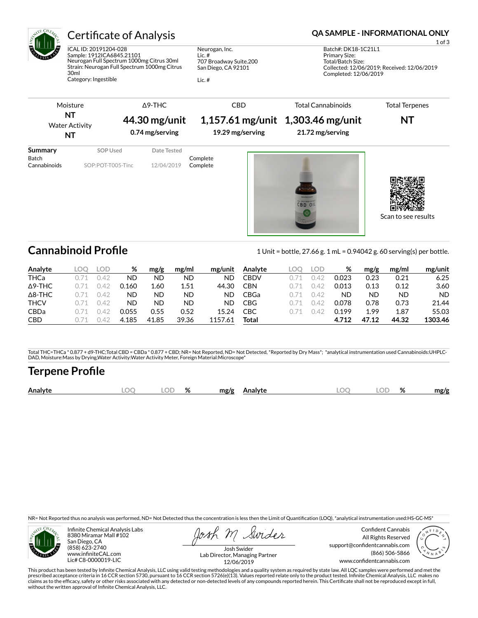

## Certificate of Analysis **Certificate of Analysis QA SAMPLE - INFORMATIONAL ONLY**

ICAL ID: 20191204-028 Sample: 1912ICA6845.21101 Neurogan Full Spectrum 1000mg Citrus 30ml Strain: Neurogan Full Spectrum 1000mg Citrus 30ml Category: Ingestible

Neurogan, Inc. Lic. # 707 Broadway Suite.200 San Diego, CA 92101

Lic. #

1 of 3

Batch#: DK18-1C21L1 Primary Size: Total/Batch Size: Collected: 12/06/2019; Received: 12/06/2019 Completed: 12/06/2019

Scan to see results

| Moisture                                |                               | $\Delta$ 9-THC                   | <b>CBD</b>           | <b>Total Cannabinoids</b>                               | <b>Total Terpenes</b> |  |  |
|-----------------------------------------|-------------------------------|----------------------------------|----------------------|---------------------------------------------------------|-----------------------|--|--|
| NT<br><b>Water Activity</b><br>ΝT       |                               | 44.30 mg/unit<br>0.74 mg/serving | 19.29 mg/serving     | $1,157.61$ mg/unit 1,303.46 mg/unit<br>21.72 mg/serving | NT                    |  |  |
| Summary<br><b>Batch</b><br>Cannabinoids | SOP Used<br>SOP:POT-T005-Tinc | Date Tested<br>12/04/2019        | Complete<br>Complete |                                                         |                       |  |  |

Cannabinoid Profile **Cannabinoid Profile** 1 Unit = bottle, 27.66 g. 1 mL = 0.94042 g. 60 serving(s) per bottle.

| Analyte        | .OC | LOD. | %     | mg/g  | mg/ml | mg/unit | Analyte     | LOO | LOD  | %     | mg/g  | mg/ml     | mg/unit |
|----------------|-----|------|-------|-------|-------|---------|-------------|-----|------|-------|-------|-----------|---------|
| <b>THCa</b>    |     | 142  | ND    | ND    | ND    | ND      | CBDV        |     | -42  | 0.023 | 0.23  | 0.21      | 6.25    |
| $\Delta$ 9-THC |     | 142  | 0.160 | 1.60  | 1.51  | 44.30   | CBN         |     | ገ.42 | 0.013 | 0.13  | 0.12      | 3.60    |
| $\Delta$ 8-THC |     | 142  | ND    | ΝD    | ND    | ND.     | <b>CBGa</b> |     | ገ 42 | ΝD    | ND    | <b>ND</b> | ND.     |
| <b>THCV</b>    |     | O 42 | ND    | ND    | ND    | ND.     | <b>CBG</b>  |     | ገ 42 | 0.078 | 0.78  | 0.73      | 21.44   |
| <b>CBDa</b>    |     | 742  | 0.055 | 0.55  | 0.52  | 15.24   | CBC         |     | ገ 42 | 0.199 | 1.99  | 1.87      | 55.03   |
| <b>CBD</b>     |     | 24 ( | 4.185 | 41.85 | 39.36 | 1157.61 | Total       |     |      | 4.712 | 47.12 | 44.32     | 1303.46 |

Total THC=THCa \* 0.877 + d9-THC;Total CBD = CBDa \* 0.877 + CBD; NR= Not Reported, ND= Not Detected, \*Reported by Dry Mass\*; \*analytical instrumentation used Cannabinoids:UHPLC-DAD, Moisture:Mass by Drying,Water Activity:Water Activity Meter, Foreign Material:Microscope\*

### **Terpene Profile**

|  | Analyte | м | $\sim$ $\sim$<br>اللساء | $\alpha$<br>۷n | mg/g<br>Analyte | $\Gamma$ | ור | OZ. | mg/g |
|--|---------|---|-------------------------|----------------|-----------------|----------|----|-----|------|
|--|---------|---|-------------------------|----------------|-----------------|----------|----|-----|------|

NR= Not Reported thus no analysis was performed, ND= Not Detected thus the concentration is less then the Limit of Quantification (LOQ), \*analytical instrumentation used:HS-GC-MS\*



Infinite Chemical Analysis Labs 8380 Miramar Mall #102 San Diego, CA (858) 623-2740 www.infiniteCAL.com Lic# C8-0000019-LIC

Swides

Confident Cannabis All Rights Reserved support@confidentcannabis.com (866) 506-5866 www.confidentcannabis.com



Josh Swider Lab Director, Managing Partner 12/06/2019

This product has been tested by Infinite Chemical Analysis, LLC using valid testing methodologies and a quality system as required by state law. All LQC samples were performed and met the prescribed acceptance criteria in 16 CCR section 5730, pursuant to 16 CCR section 5726(e)(13). Values reported relate only to the product tested. Infinite Chemical Analysis, LLC makes no<br>claims as to the efficacy, safety o without the written approval of Infinite Chemical Analysis, LLC.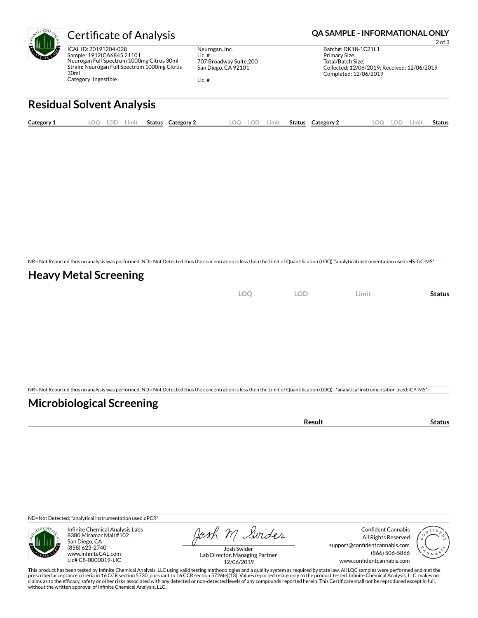

ICAL ID: 20191204-028 Sample: 1912ICA6845.21101 Neurogan Full Spectrum 1000mg Citrus 30ml Strain: Neurogan Full Spectrum 1000mg Citrus 30ml Category: Ingestible

Neurogan, Inc. Lic. # 707 Broadway Suite.200 San Diego, CA 92101

Lic. #

#### Certificate of Analysis **Certificate of Analysis QA SAMPLE - INFORMATIONAL ONLY**

2 of 3 Batch#: DK18-1C21L1 Primary Size: Total/Batch Size: Collected: 12/06/2019; Received: 12/06/2019 Completed: 12/06/2019

## **Residual Solvent Analysis**

| Category 1 | LOO | <b>LOD</b> | .imit | <b>Status</b> | Category 2 | LOO | LOD | Limit | <b>Status</b> | Category 2 | LOO | LOD | ∟imit | Status |
|------------|-----|------------|-------|---------------|------------|-----|-----|-------|---------------|------------|-----|-----|-------|--------|
|            |     |            |       |               |            |     |     |       |               |            |     |     |       |        |

NR= Not Reported thus no analysis was performed, ND= Not Detected thus the concentration is less then the Limit of Quantification (LOQ),\*analytical instrumentation used=HS-GC-MS\*

### **Heavy Metal Screening**

| $\sim$<br>∽ | $\sim$<br>$\sim$ | LOD | <b>Limi</b> | status |
|-------------|------------------|-----|-------------|--------|
|             |                  |     |             |        |

NR= Not Reported thus no analysis was performed, ND= Not Detected thus the concentration is less then the Limit of Quantification (LOQ), \*analytical instrumentation used:ICP-MS\*

### **Microbiological Screening**

| ารนIน |
|-------|
|-------|

ND=Not Detected; \*analytical instrumentation used:qPCR\*



Infinite Chemical Analysis Labs 8380 Miramar Mall #102 San Diego, CA (858) 623-2740 www.infiniteCAL.com Lic# C8-0000019-LIC

Josh M Swider

Confident Cannabis All Rights Reserved support@confidentcannabis.com (866) 506-5866 www.confidentcannabis.com



Josh Swider Lab Director, Managing Partner 12/06/2019

This product has been tested by Infinite Chemical Analysis, LLC using valid testing methodologies and a quality system as required by state law. All LQC samples were performed and met the prescribed acceptance criteria in 16 CCR section 5730, pursuant to 16 CCR section 5726(e)(13). Values reported relate only to the product tested. Infinite Chemical Analysis, LLC makes no<br>claims as to the efficacy, safety o without the written approval of Infinite Chemical Analysis, LLC.